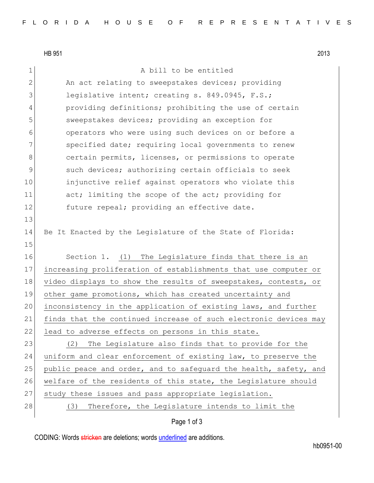HB 951 2013

1 a bill to be entitled 2 An act relating to sweepstakes devices; providing 3 legislative intent; creating s. 849.0945, F.S.; 4 providing definitions; prohibiting the use of certain 5 sweepstakes devices; providing an exception for 6 operators who were using such devices on or before a 7 Specified date; requiring local governments to renew 8 8 certain permits, licenses, or permissions to operate 9 such devices; authorizing certain officials to seek 10 injunctive relief against operators who violate this 11 act; limiting the scope of the act; providing for 12 future repeal; providing an effective date. 13 14 Be It Enacted by the Legislature of the State of Florida: 15 16 Section 1. (1) The Legislature finds that there is an 17 increasing proliferation of establishments that use computer or 18 video displays to show the results of sweepstakes, contests, or 19 other game promotions, which has created uncertainty and 20 inconsistency in the application of existing laws, and further 21 finds that the continued increase of such electronic devices may 22 lead to adverse effects on persons in this state. 23 (2) The Legislature also finds that to provide for the 24 uniform and clear enforcement of existing law, to preserve the 25 public peace and order, and to safeguard the health, safety, and 26 welfare of the residents of this state, the Legislature should 27 study these issues and pass appropriate legislation. 28 (3) Therefore, the Legislature intends to limit the

CODING: Words stricken are deletions; words underlined are additions.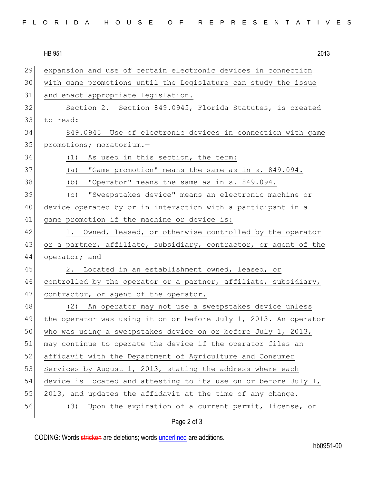| FLORIDA HOUSE OF REPRESENTATIVES |  |  |  |  |  |  |  |  |  |  |  |  |  |  |  |  |  |  |  |  |  |  |  |  |
|----------------------------------|--|--|--|--|--|--|--|--|--|--|--|--|--|--|--|--|--|--|--|--|--|--|--|--|
|----------------------------------|--|--|--|--|--|--|--|--|--|--|--|--|--|--|--|--|--|--|--|--|--|--|--|--|

HB 951 2013 29 expansion and use of certain electronic devices in connection 30 with game promotions until the Legislature can study the issue 31 and enact appropriate legislation. 32 Section 2. Section 849.0945, Florida Statutes, is created 33 to read: 34 849.0945 Use of electronic devices in connection with game 35 promotions; moratorium.-36 (1) As used in this section, the term: 37 (a) "Game promotion" means the same as in s. 849.094. 38 (b) "Operator" means the same as in s. 849.094. 39 (c) "Sweepstakes device" means an electronic machine or 40 device operated by or in interaction with a participant in a 41 game promotion if the machine or device is: 42 1. Owned, leased, or otherwise controlled by the operator 43 or a partner, affiliate, subsidiary, contractor, or agent of the 44 operator; and 45 2. Located in an establishment owned, leased, or 46 controlled by the operator or a partner, affiliate, subsidiary, 47 contractor, or agent of the operator. 48 (2) An operator may not use a sweepstakes device unless 49 the operator was using it on or before July 1, 2013. An operator 50 who was using a sweepstakes device on or before July 1, 2013, 51 may continue to operate the device if the operator files an 52 affidavit with the Department of Agriculture and Consumer 53 Services by August 1, 2013, stating the address where each 54 device is located and attesting to its use on or before July 1, 55 2013, and updates the affidavit at the time of any change. 56 (3) Upon the expiration of a current permit, license, or

## Page 2 of 3

CODING: Words stricken are deletions; words underlined are additions.